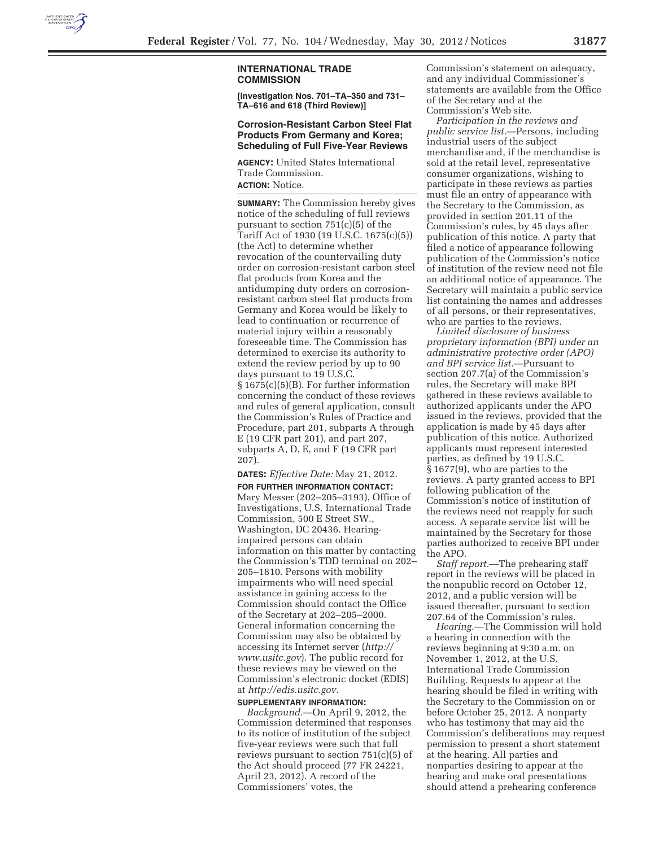

# **INTERNATIONAL TRADE COMMISSION**

**[Investigation Nos. 701–TA–350 and 731– TA–616 and 618 (Third Review)]** 

# **Corrosion-Resistant Carbon Steel Flat Products From Germany and Korea; Scheduling of Full Five-Year Reviews**

**AGENCY:** United States International Trade Commission. **ACTION:** Notice.

**SUMMARY:** The Commission hereby gives notice of the scheduling of full reviews pursuant to section 751(c)(5) of the Tariff Act of 1930 (19 U.S.C. 1675(c)(5)) (the Act) to determine whether revocation of the countervailing duty order on corrosion-resistant carbon steel flat products from Korea and the antidumping duty orders on corrosionresistant carbon steel flat products from Germany and Korea would be likely to lead to continuation or recurrence of material injury within a reasonably foreseeable time. The Commission has determined to exercise its authority to extend the review period by up to 90 days pursuant to 19 U.S.C. § 1675(c)(5)(B). For further information concerning the conduct of these reviews and rules of general application, consult the Commission's Rules of Practice and Procedure, part 201, subparts A through E (19 CFR part 201), and part 207, subparts A, D, E, and F (19 CFR part 207).

# **DATES:** *Effective Date:* May 21, 2012.

**FOR FURTHER INFORMATION CONTACT:**  Mary Messer (202–205–3193), Office of Investigations, U.S. International Trade Commission, 500 E Street SW., Washington, DC 20436. Hearingimpaired persons can obtain information on this matter by contacting the Commission's TDD terminal on 202– 205–1810. Persons with mobility impairments who will need special assistance in gaining access to the Commission should contact the Office of the Secretary at 202–205–2000. General information concerning the Commission may also be obtained by accessing its Internet server (*http:// www.usitc.gov*). The public record for these reviews may be viewed on the Commission's electronic docket (EDIS) at *http://edis.usitc.gov.* 

#### **SUPPLEMENTARY INFORMATION:**

*Background.*—On April 9, 2012, the Commission determined that responses to its notice of institution of the subject five-year reviews were such that full reviews pursuant to section 751(c)(5) of the Act should proceed (77 FR 24221, April 23, 2012). A record of the Commissioners' votes, the

Commission's statement on adequacy, and any individual Commissioner's statements are available from the Office of the Secretary and at the Commission's Web site.

*Participation in the reviews and public service list.*—Persons, including industrial users of the subject merchandise and, if the merchandise is sold at the retail level, representative consumer organizations, wishing to participate in these reviews as parties must file an entry of appearance with the Secretary to the Commission, as provided in section 201.11 of the Commission's rules, by 45 days after publication of this notice. A party that filed a notice of appearance following publication of the Commission's notice of institution of the review need not file an additional notice of appearance. The Secretary will maintain a public service list containing the names and addresses of all persons, or their representatives, who are parties to the reviews.

*Limited disclosure of business proprietary information (BPI) under an administrative protective order (APO) and BPI service list.*—Pursuant to section 207.7(a) of the Commission's rules, the Secretary will make BPI gathered in these reviews available to authorized applicants under the APO issued in the reviews, provided that the application is made by 45 days after publication of this notice. Authorized applicants must represent interested parties, as defined by 19 U.S.C. § 1677(9), who are parties to the reviews. A party granted access to BPI following publication of the Commission's notice of institution of the reviews need not reapply for such access. A separate service list will be maintained by the Secretary for those parties authorized to receive BPI under the APO.

*Staff report.*—The prehearing staff report in the reviews will be placed in the nonpublic record on October 12, 2012, and a public version will be issued thereafter, pursuant to section 207.64 of the Commission's rules.

*Hearing.*—The Commission will hold a hearing in connection with the reviews beginning at 9:30 a.m. on November 1, 2012, at the U.S. International Trade Commission Building. Requests to appear at the hearing should be filed in writing with the Secretary to the Commission on or before October 25, 2012. A nonparty who has testimony that may aid the Commission's deliberations may request permission to present a short statement at the hearing. All parties and nonparties desiring to appear at the hearing and make oral presentations should attend a prehearing conference